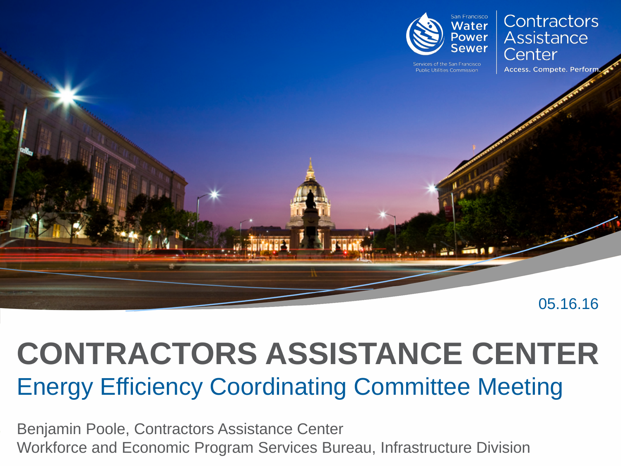

Contractors Assistance Center

Access. Compete. Perform

05.16.16

#### **CONTRACTORS ASSISTANCE CENTER** Energy Efficiency Coordinating Committee Meeting

Benjamin Poole, Contractors Assistance Center Workforce and Economic Program Services Bureau, Infrastructure Division

ider Eles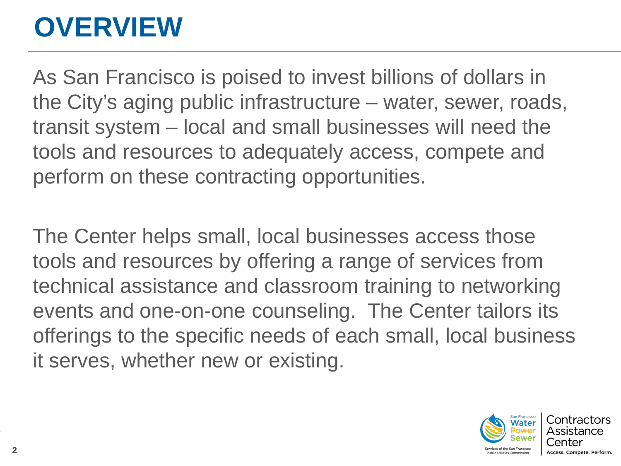#### **OVERVIEW**

As San Francisco is poised to invest billions of dollars in the City's aging public infrastructure – water, sewer, roads, transit system – local and small businesses will need the tools and resources to adequately access, compete and perform on these contracting opportunities.

The Center helps small, local businesses access those tools and resources by offering a range of services from technical assistance and classroom training to networking events and one-on-one counseling. The Center tailors its offerings to the specific needs of each small, local business it serves, whether new or existing.

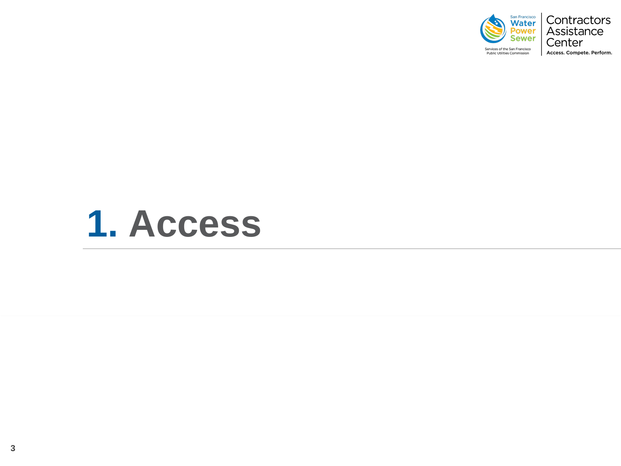



### **1. Access**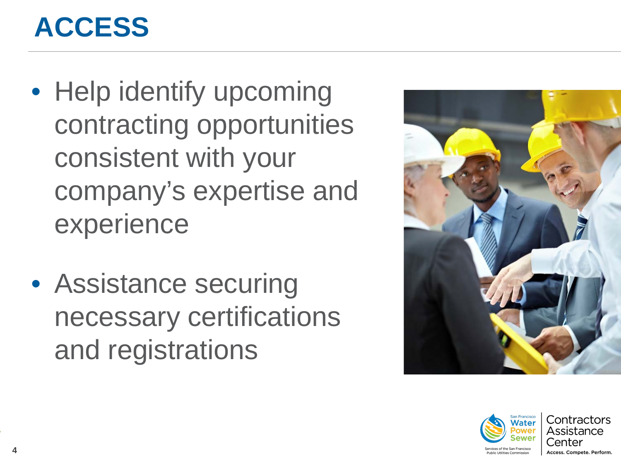#### **ACCESS**

- Help identify upcoming contracting opportunities consistent with your company's expertise and experience
- Assistance securing necessary certifications and registrations



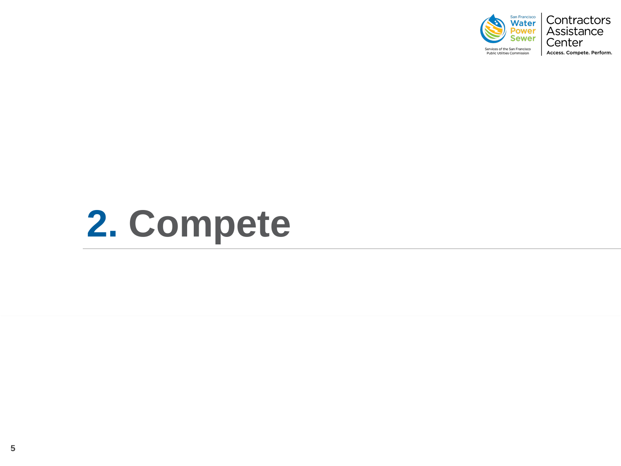



# **2. Compete**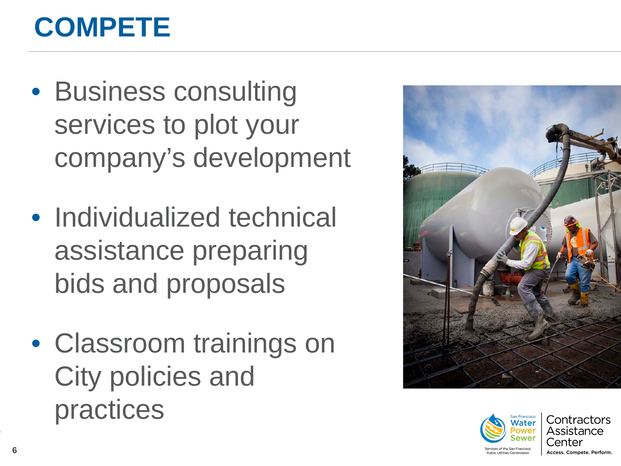#### **COMPETE**

- Business consulting services to plot your company's development
- Individualized technical assistance preparing bids and proposals
- Classroom trainings on City policies and practices



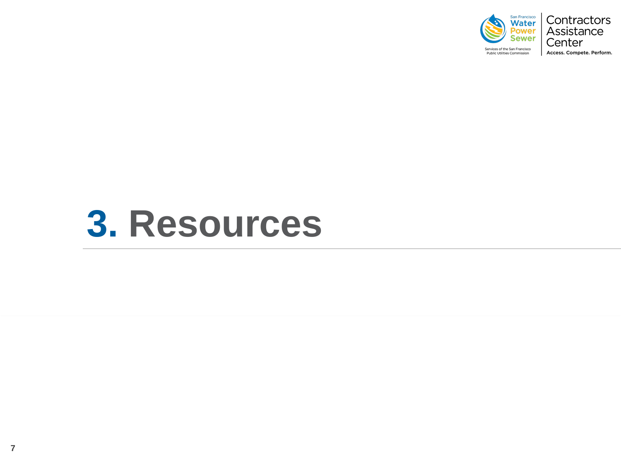



## **3. Resources**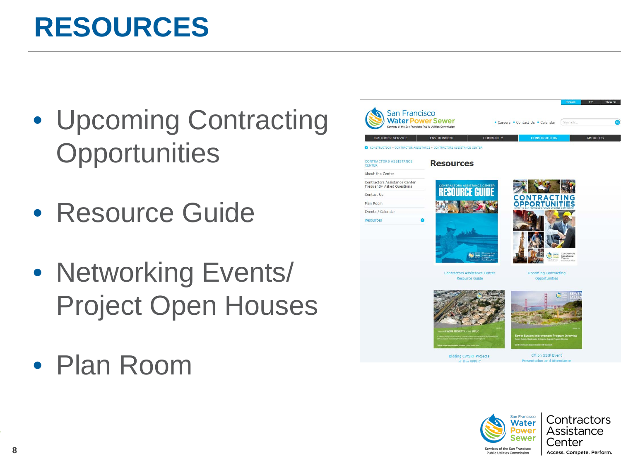#### **RESOURCES**

- Upcoming Contracting **Opportunities**
- Resource Guide
- Networking Events/ Project Open Houses
- Plan Room



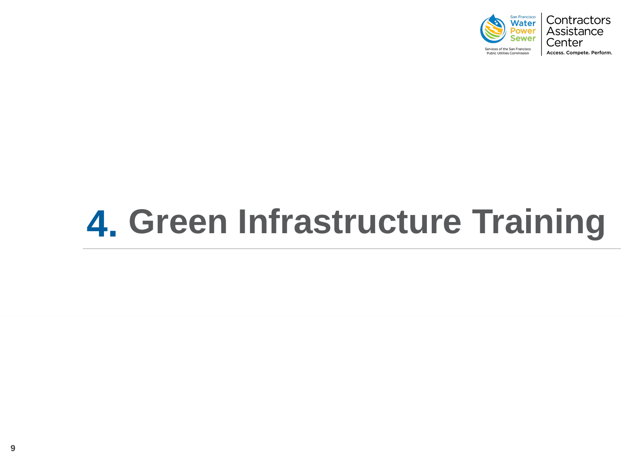

## **4. Green Infrastructure Training**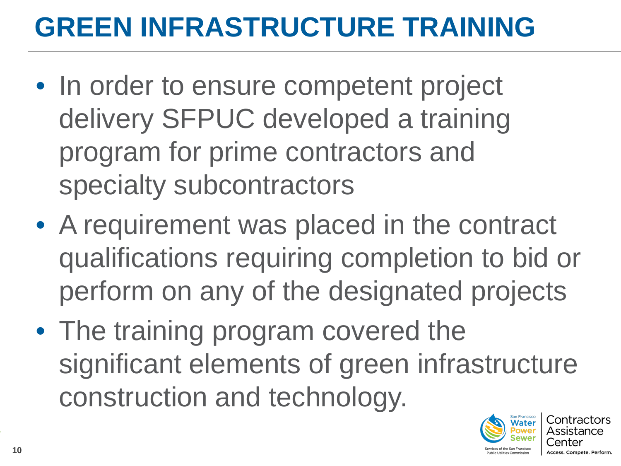#### **GREEN INFRASTRUCTURE TRAINING**

- In order to ensure competent project delivery SFPUC developed a training program for prime contractors and specialty subcontractors
- A requirement was placed in the contract qualifications requiring completion to bid or perform on any of the designated projects
- The training program covered the significant elements of green infrastructure construction and technology.

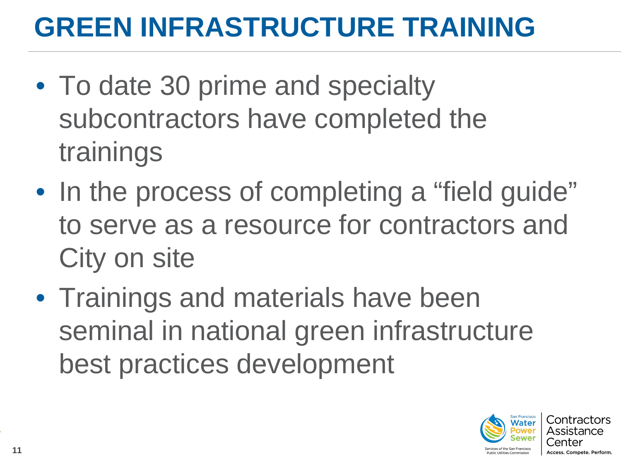#### **GREEN INFRASTRUCTURE TRAINING**

- To date 30 prime and specialty subcontractors have completed the trainings
- In the process of completing a "field guide" to serve as a resource for contractors and City on site
- Trainings and materials have been seminal in national green infrastructure best practices development

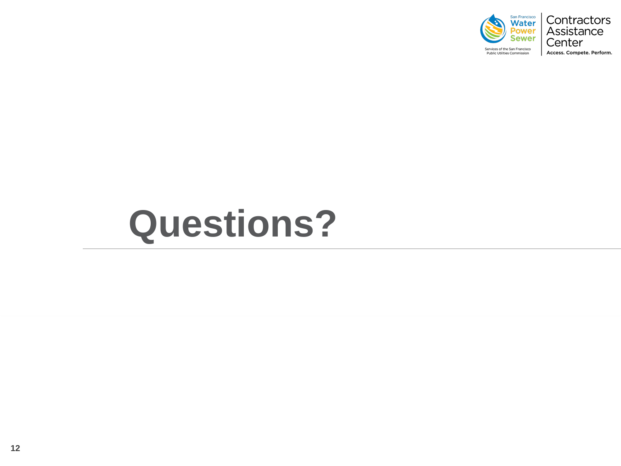



### **Questions?**